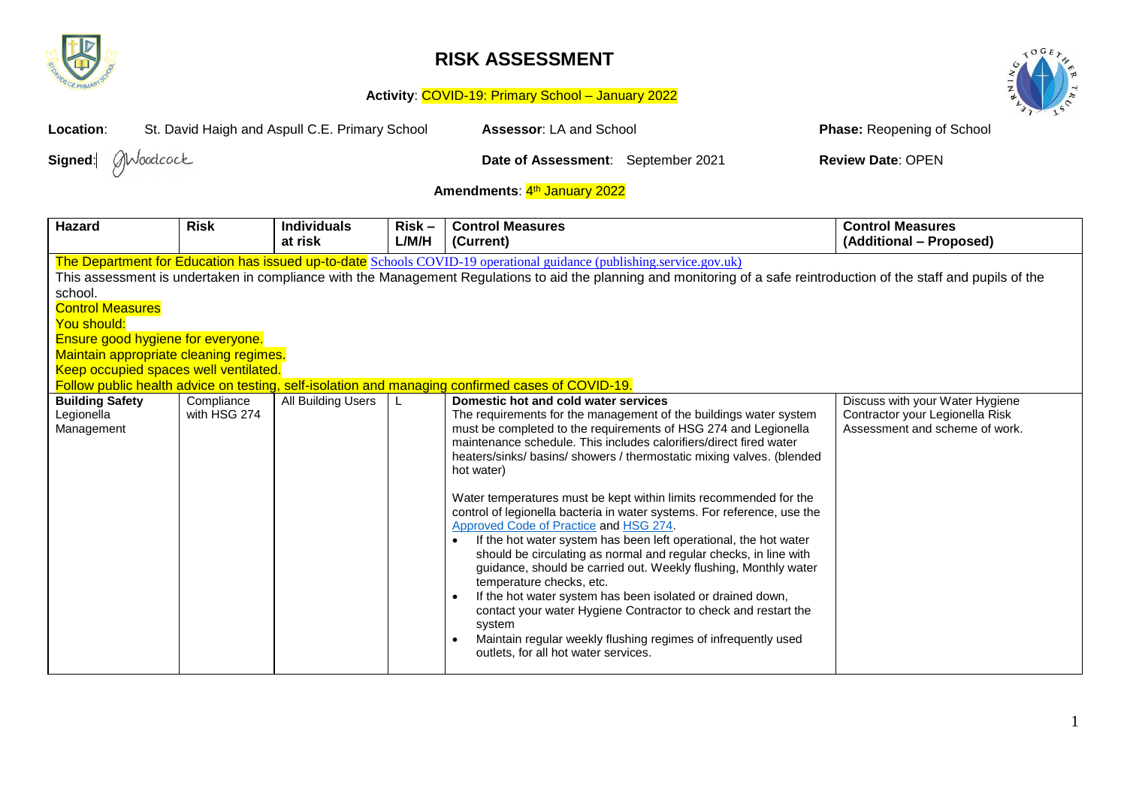

## **RISK ASSESSMENT**



## **Activity**: COVID-19: Primary School – January 2022

| St. David Haigh and Aspull C.E. Primary School<br>Location:                                                                                                                                                                                                                                                                                                                                                                                                                                                                                                                                                                                                                                                                                                                                                                                                                                                                                                                                                                                                                                                                                                                                                                                                                                         |             |                               |                   | Assessor: LA and School                                                                                                                                                                                                                                                                                                                                                                                                              | <b>Phase: Reopening of School</b>                  |  |
|-----------------------------------------------------------------------------------------------------------------------------------------------------------------------------------------------------------------------------------------------------------------------------------------------------------------------------------------------------------------------------------------------------------------------------------------------------------------------------------------------------------------------------------------------------------------------------------------------------------------------------------------------------------------------------------------------------------------------------------------------------------------------------------------------------------------------------------------------------------------------------------------------------------------------------------------------------------------------------------------------------------------------------------------------------------------------------------------------------------------------------------------------------------------------------------------------------------------------------------------------------------------------------------------------------|-------------|-------------------------------|-------------------|--------------------------------------------------------------------------------------------------------------------------------------------------------------------------------------------------------------------------------------------------------------------------------------------------------------------------------------------------------------------------------------------------------------------------------------|----------------------------------------------------|--|
| Moodcock<br>Signed:                                                                                                                                                                                                                                                                                                                                                                                                                                                                                                                                                                                                                                                                                                                                                                                                                                                                                                                                                                                                                                                                                                                                                                                                                                                                                 |             |                               |                   | Date of Assessment: September 2021                                                                                                                                                                                                                                                                                                                                                                                                   | <b>Review Date: OPEN</b>                           |  |
| Amendments: 4th January 2022                                                                                                                                                                                                                                                                                                                                                                                                                                                                                                                                                                                                                                                                                                                                                                                                                                                                                                                                                                                                                                                                                                                                                                                                                                                                        |             |                               |                   |                                                                                                                                                                                                                                                                                                                                                                                                                                      |                                                    |  |
| <b>Hazard</b>                                                                                                                                                                                                                                                                                                                                                                                                                                                                                                                                                                                                                                                                                                                                                                                                                                                                                                                                                                                                                                                                                                                                                                                                                                                                                       | <b>Risk</b> | <b>Individuals</b><br>at risk | $Risk -$<br>L/M/H | <b>Control Measures</b><br>(Current)                                                                                                                                                                                                                                                                                                                                                                                                 | <b>Control Measures</b><br>(Additional - Proposed) |  |
| The Department for Education has issued up-to-date Schools COVID-19 operational guidance (publishing.service.gov.uk)<br>This assessment is undertaken in compliance with the Management Regulations to aid the planning and monitoring of a safe reintroduction of the staff and pupils of the<br>school.<br><b>Control Measures</b><br>You should:<br>Ensure good hygiene for everyone.<br>Maintain appropriate cleaning regimes.<br>Keep occupied spaces well ventilated.<br>Follow public health advice on testing, self-isolation and managing confirmed cases of COVID-19.<br><b>Building Safety</b><br>All Building Users<br>Compliance<br>Domestic hot and cold water services<br>Discuss with your Water Hygiene<br>L<br>with HSG 274<br>The requirements for the management of the buildings water system<br>Contractor your Legionella Risk<br>Legionella<br>must be completed to the requirements of HSG 274 and Legionella<br>Assessment and scheme of work.<br>Management<br>maintenance schedule. This includes calorifiers/direct fired water<br>heaters/sinks/ basins/ showers / thermostatic mixing valves. (blended<br>hot water)<br>Water temperatures must be kept within limits recommended for the<br>control of legionella bacteria in water systems. For reference, use the |             |                               |                   |                                                                                                                                                                                                                                                                                                                                                                                                                                      |                                                    |  |
|                                                                                                                                                                                                                                                                                                                                                                                                                                                                                                                                                                                                                                                                                                                                                                                                                                                                                                                                                                                                                                                                                                                                                                                                                                                                                                     |             |                               |                   | Approved Code of Practice and HSG 274.<br>If the hot water system has been left operational, the hot water<br>should be circulating as normal and regular checks, in line with<br>guidance, should be carried out. Weekly flushing, Monthly water<br>temperature checks, etc.<br>If the hot water system has been isolated or drained down,<br>$\bullet$<br>contact your water Hygiene Contractor to check and restart the<br>system |                                                    |  |
|                                                                                                                                                                                                                                                                                                                                                                                                                                                                                                                                                                                                                                                                                                                                                                                                                                                                                                                                                                                                                                                                                                                                                                                                                                                                                                     |             |                               |                   | Maintain regular weekly flushing regimes of infrequently used<br>outlets, for all hot water services.                                                                                                                                                                                                                                                                                                                                |                                                    |  |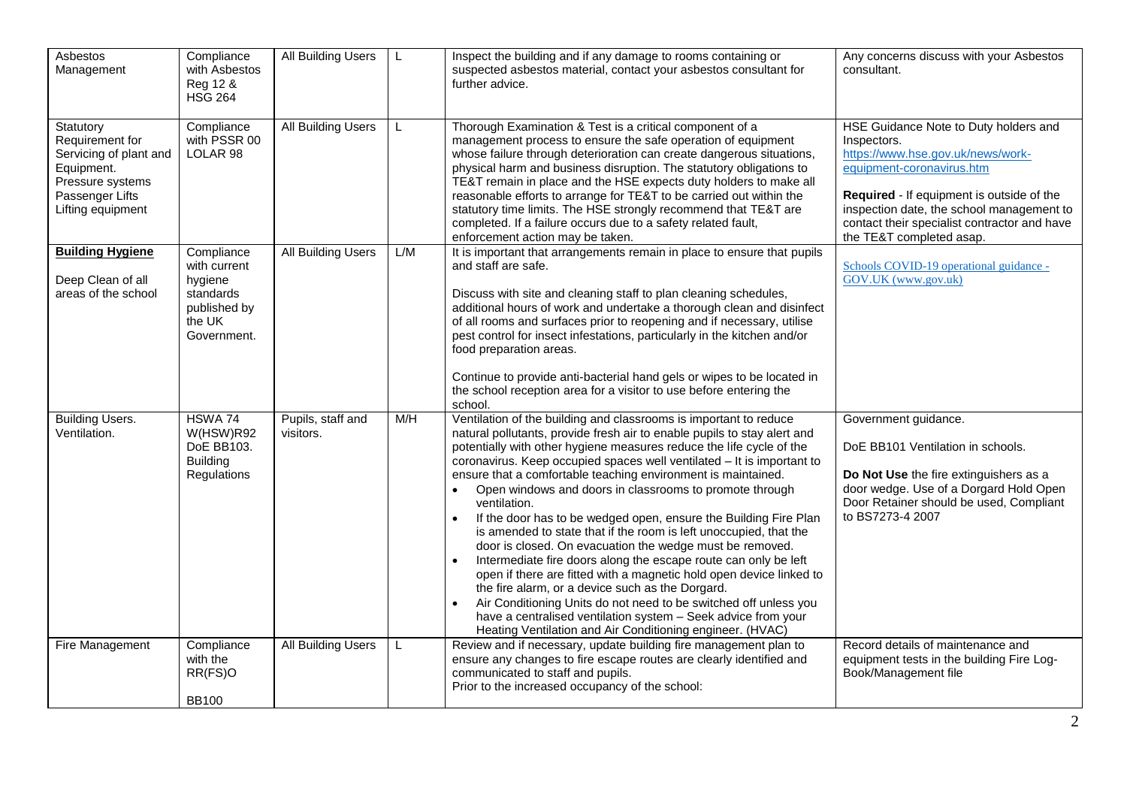| Asbestos<br>Management                                                                                                           | Compliance<br>with Asbestos<br>Reg 12 &<br><b>HSG 264</b>                                   | All Building Users             | L   | Inspect the building and if any damage to rooms containing or<br>suspected asbestos material, contact your asbestos consultant for<br>further advice.                                                                                                                                                                                                                                                                                                                                                                                                                                                                                                                                                                                                                                                                                                                                                                                                                                                                                                                                   | Any concerns discuss with your Asbestos<br>consultant.                                                                                                                                                                                                                                       |
|----------------------------------------------------------------------------------------------------------------------------------|---------------------------------------------------------------------------------------------|--------------------------------|-----|-----------------------------------------------------------------------------------------------------------------------------------------------------------------------------------------------------------------------------------------------------------------------------------------------------------------------------------------------------------------------------------------------------------------------------------------------------------------------------------------------------------------------------------------------------------------------------------------------------------------------------------------------------------------------------------------------------------------------------------------------------------------------------------------------------------------------------------------------------------------------------------------------------------------------------------------------------------------------------------------------------------------------------------------------------------------------------------------|----------------------------------------------------------------------------------------------------------------------------------------------------------------------------------------------------------------------------------------------------------------------------------------------|
| Statutory<br>Requirement for<br>Servicing of plant and<br>Equipment.<br>Pressure systems<br>Passenger Lifts<br>Lifting equipment | Compliance<br>with PSSR 00<br>LOLAR 98                                                      | All Building Users             | L   | Thorough Examination & Test is a critical component of a<br>management process to ensure the safe operation of equipment<br>whose failure through deterioration can create dangerous situations,<br>physical harm and business disruption. The statutory obligations to<br>TE&T remain in place and the HSE expects duty holders to make all<br>reasonable efforts to arrange for TE&T to be carried out within the<br>statutory time limits. The HSE strongly recommend that TE&T are<br>completed. If a failure occurs due to a safety related fault,<br>enforcement action may be taken.                                                                                                                                                                                                                                                                                                                                                                                                                                                                                             | HSE Guidance Note to Duty holders and<br>Inspectors.<br>https://www.hse.gov.uk/news/work-<br>equipment-coronavirus.htm<br>Required - If equipment is outside of the<br>inspection date, the school management to<br>contact their specialist contractor and have<br>the TE&T completed asap. |
| <b>Building Hygiene</b><br>Deep Clean of all<br>areas of the school                                                              | Compliance<br>with current<br>hygiene<br>standards<br>published by<br>the UK<br>Government. | <b>All Building Users</b>      | L/M | It is important that arrangements remain in place to ensure that pupils<br>and staff are safe.<br>Discuss with site and cleaning staff to plan cleaning schedules,<br>additional hours of work and undertake a thorough clean and disinfect<br>of all rooms and surfaces prior to reopening and if necessary, utilise<br>pest control for insect infestations, particularly in the kitchen and/or<br>food preparation areas.<br>Continue to provide anti-bacterial hand gels or wipes to be located in<br>the school reception area for a visitor to use before entering the<br>school.                                                                                                                                                                                                                                                                                                                                                                                                                                                                                                 | Schools COVID-19 operational guidance -<br>GOV.UK (www.gov.uk)                                                                                                                                                                                                                               |
| <b>Building Users.</b><br>Ventilation.                                                                                           | HSWA 74<br>W(HSW)R92<br>DoE BB103.<br><b>Building</b><br>Regulations                        | Pupils, staff and<br>visitors. | M/H | Ventilation of the building and classrooms is important to reduce<br>natural pollutants, provide fresh air to enable pupils to stay alert and<br>potentially with other hygiene measures reduce the life cycle of the<br>coronavirus. Keep occupied spaces well ventilated - It is important to<br>ensure that a comfortable teaching environment is maintained.<br>Open windows and doors in classrooms to promote through<br>$\bullet$<br>ventilation.<br>If the door has to be wedged open, ensure the Building Fire Plan<br>$\bullet$<br>is amended to state that if the room is left unoccupied, that the<br>door is closed. On evacuation the wedge must be removed.<br>Intermediate fire doors along the escape route can only be left<br>$\bullet$<br>open if there are fitted with a magnetic hold open device linked to<br>the fire alarm, or a device such as the Dorgard.<br>Air Conditioning Units do not need to be switched off unless you<br>have a centralised ventilation system - Seek advice from your<br>Heating Ventilation and Air Conditioning engineer. (HVAC) | Government guidance.<br>DoE BB101 Ventilation in schools.<br>Do Not Use the fire extinguishers as a<br>door wedge. Use of a Dorgard Hold Open<br>Door Retainer should be used, Compliant<br>to BS7273-4 2007                                                                                 |
| Fire Management                                                                                                                  | Compliance<br>with the<br>RR(FS)O<br><b>BB100</b>                                           | <b>All Building Users</b>      | L   | Review and if necessary, update building fire management plan to<br>ensure any changes to fire escape routes are clearly identified and<br>communicated to staff and pupils.<br>Prior to the increased occupancy of the school:                                                                                                                                                                                                                                                                                                                                                                                                                                                                                                                                                                                                                                                                                                                                                                                                                                                         | Record details of maintenance and<br>equipment tests in the building Fire Log-<br>Book/Management file                                                                                                                                                                                       |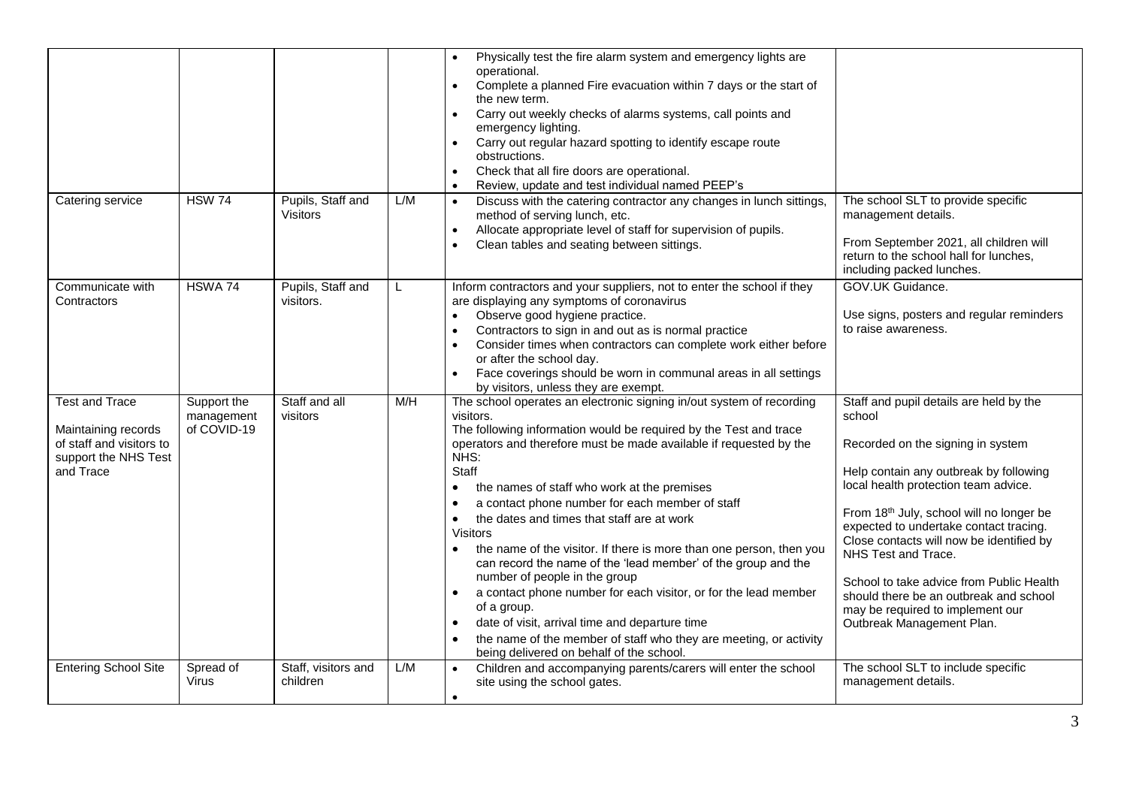| Catering service                                                                                              | <b>HSW 74</b>                            | Pupils, Staff and               | L/M | Physically test the fire alarm system and emergency lights are<br>operational.<br>Complete a planned Fire evacuation within 7 days or the start of<br>$\bullet$<br>the new term.<br>Carry out weekly checks of alarms systems, call points and<br>$\bullet$<br>emergency lighting.<br>Carry out regular hazard spotting to identify escape route<br>$\bullet$<br>obstructions.<br>Check that all fire doors are operational.<br>$\bullet$<br>Review, update and test individual named PEEP's<br>Discuss with the catering contractor any changes in lunch sittings,<br>$\bullet$                                                                                                                                                                                                                                                                                                                                     | The school SLT to provide specific                                                                                                                                                                                                                                                                                                                                                                                                                                                       |
|---------------------------------------------------------------------------------------------------------------|------------------------------------------|---------------------------------|-----|----------------------------------------------------------------------------------------------------------------------------------------------------------------------------------------------------------------------------------------------------------------------------------------------------------------------------------------------------------------------------------------------------------------------------------------------------------------------------------------------------------------------------------------------------------------------------------------------------------------------------------------------------------------------------------------------------------------------------------------------------------------------------------------------------------------------------------------------------------------------------------------------------------------------|------------------------------------------------------------------------------------------------------------------------------------------------------------------------------------------------------------------------------------------------------------------------------------------------------------------------------------------------------------------------------------------------------------------------------------------------------------------------------------------|
|                                                                                                               |                                          | Visitors                        |     | method of serving lunch, etc.<br>Allocate appropriate level of staff for supervision of pupils.<br>$\bullet$<br>Clean tables and seating between sittings.                                                                                                                                                                                                                                                                                                                                                                                                                                                                                                                                                                                                                                                                                                                                                           | management details.<br>From September 2021, all children will<br>return to the school hall for lunches,<br>including packed lunches.                                                                                                                                                                                                                                                                                                                                                     |
| Communicate with<br>Contractors                                                                               | HSWA 74                                  | Pupils, Staff and<br>visitors.  | L   | Inform contractors and your suppliers, not to enter the school if they<br>are displaying any symptoms of coronavirus<br>Observe good hygiene practice.<br>Contractors to sign in and out as is normal practice<br>$\bullet$<br>Consider times when contractors can complete work either before<br>or after the school day.<br>Face coverings should be worn in communal areas in all settings<br>$\bullet$<br>by visitors, unless they are exempt.                                                                                                                                                                                                                                                                                                                                                                                                                                                                   | GOV.UK Guidance.<br>Use signs, posters and regular reminders<br>to raise awareness.                                                                                                                                                                                                                                                                                                                                                                                                      |
| <b>Test and Trace</b><br>Maintaining records<br>of staff and visitors to<br>support the NHS Test<br>and Trace | Support the<br>management<br>of COVID-19 | Staff and all<br>visitors       | M/H | The school operates an electronic signing in/out system of recording<br>visitors.<br>The following information would be required by the Test and trace<br>operators and therefore must be made available if requested by the<br>NHS:<br>Staff<br>the names of staff who work at the premises<br>٠<br>a contact phone number for each member of staff<br>$\bullet$<br>the dates and times that staff are at work<br><b>Visitors</b><br>the name of the visitor. If there is more than one person, then you<br>$\bullet$<br>can record the name of the 'lead member' of the group and the<br>number of people in the group<br>a contact phone number for each visitor, or for the lead member<br>$\bullet$<br>of a group.<br>date of visit, arrival time and departure time<br>$\bullet$<br>the name of the member of staff who they are meeting, or activity<br>$\bullet$<br>being delivered on behalf of the school. | Staff and pupil details are held by the<br>school<br>Recorded on the signing in system<br>Help contain any outbreak by following<br>local health protection team advice.<br>From 18th July, school will no longer be<br>expected to undertake contact tracing.<br>Close contacts will now be identified by<br>NHS Test and Trace.<br>School to take advice from Public Health<br>should there be an outbreak and school<br>may be required to implement our<br>Outbreak Management Plan. |
| <b>Entering School Site</b>                                                                                   | Spread of<br>Virus                       | Staff, visitors and<br>children | L/M | Children and accompanying parents/carers will enter the school<br>site using the school gates.<br>$\bullet$                                                                                                                                                                                                                                                                                                                                                                                                                                                                                                                                                                                                                                                                                                                                                                                                          | The school SLT to include specific<br>management details.                                                                                                                                                                                                                                                                                                                                                                                                                                |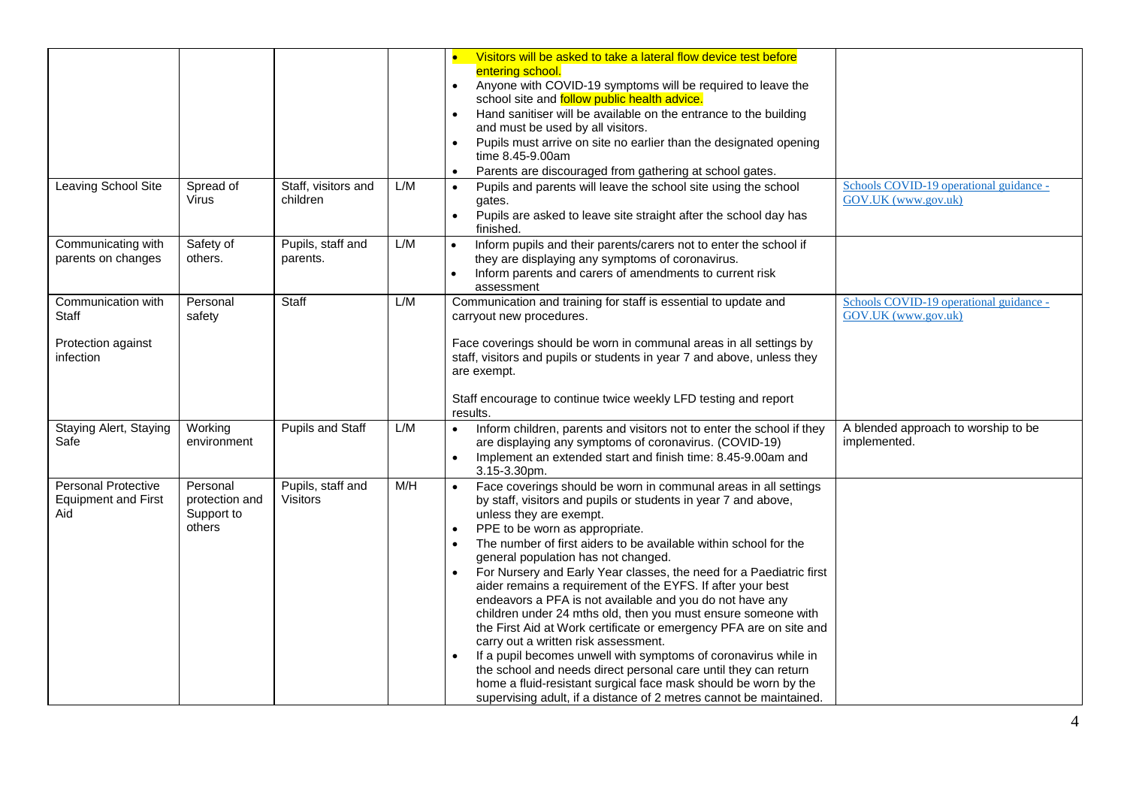|                                                                 |                                                    |                                      |     | Visitors will be asked to take a lateral flow device test before<br>entering school.<br>Anyone with COVID-19 symptoms will be required to leave the<br>$\bullet$<br>school site and follow public health advice.<br>Hand sanitiser will be available on the entrance to the building<br>$\bullet$<br>and must be used by all visitors.<br>Pupils must arrive on site no earlier than the designated opening<br>$\bullet$<br>time 8.45-9.00am<br>Parents are discouraged from gathering at school gates.<br>$\bullet$                                                                                                                                                                                                                                                                                                                                                                                                                                                                                             |                                                                |
|-----------------------------------------------------------------|----------------------------------------------------|--------------------------------------|-----|------------------------------------------------------------------------------------------------------------------------------------------------------------------------------------------------------------------------------------------------------------------------------------------------------------------------------------------------------------------------------------------------------------------------------------------------------------------------------------------------------------------------------------------------------------------------------------------------------------------------------------------------------------------------------------------------------------------------------------------------------------------------------------------------------------------------------------------------------------------------------------------------------------------------------------------------------------------------------------------------------------------|----------------------------------------------------------------|
| <b>Leaving School Site</b>                                      | Spread of<br>Virus                                 | Staff, visitors and<br>children      | L/M | Pupils and parents will leave the school site using the school<br>$\bullet$<br>gates.<br>Pupils are asked to leave site straight after the school day has<br>$\bullet$<br>finished.                                                                                                                                                                                                                                                                                                                                                                                                                                                                                                                                                                                                                                                                                                                                                                                                                              | Schools COVID-19 operational guidance -<br>GOV.UK (www.gov.uk) |
| Communicating with<br>parents on changes                        | Safety of<br>others.                               | Pupils, staff and<br>parents.        | L/M | Inform pupils and their parents/carers not to enter the school if<br>$\bullet$<br>they are displaying any symptoms of coronavirus.<br>Inform parents and carers of amendments to current risk<br>assessment                                                                                                                                                                                                                                                                                                                                                                                                                                                                                                                                                                                                                                                                                                                                                                                                      |                                                                |
| Communication with<br>Staff<br>Protection against<br>infection  | Personal<br>safety                                 | Staff                                | L/M | Communication and training for staff is essential to update and<br>carryout new procedures.<br>Face coverings should be worn in communal areas in all settings by<br>staff, visitors and pupils or students in year 7 and above, unless they<br>are exempt.<br>Staff encourage to continue twice weekly LFD testing and report<br>results.                                                                                                                                                                                                                                                                                                                                                                                                                                                                                                                                                                                                                                                                       | Schools COVID-19 operational guidance -<br>GOV.UK (www.gov.uk) |
| Staying Alert, Staying<br>Safe                                  | Working<br>environment                             | <b>Pupils and Staff</b>              | L/M | Inform children, parents and visitors not to enter the school if they<br>$\bullet$<br>are displaying any symptoms of coronavirus. (COVID-19)<br>Implement an extended start and finish time: 8.45-9.00am and<br>$\bullet$<br>$3.15 - 3.30$ pm.                                                                                                                                                                                                                                                                                                                                                                                                                                                                                                                                                                                                                                                                                                                                                                   | A blended approach to worship to be<br>implemented.            |
| <b>Personal Protective</b><br><b>Equipment and First</b><br>Aid | Personal<br>protection and<br>Support to<br>others | Pupils, staff and<br><b>Visitors</b> | M/H | Face coverings should be worn in communal areas in all settings<br>by staff, visitors and pupils or students in year 7 and above,<br>unless they are exempt.<br>PPE to be worn as appropriate.<br>$\bullet$<br>The number of first aiders to be available within school for the<br>$\bullet$<br>general population has not changed.<br>For Nursery and Early Year classes, the need for a Paediatric first<br>aider remains a requirement of the EYFS. If after your best<br>endeavors a PFA is not available and you do not have any<br>children under 24 mths old, then you must ensure someone with<br>the First Aid at Work certificate or emergency PFA are on site and<br>carry out a written risk assessment.<br>If a pupil becomes unwell with symptoms of coronavirus while in<br>$\bullet$<br>the school and needs direct personal care until they can return<br>home a fluid-resistant surgical face mask should be worn by the<br>supervising adult, if a distance of 2 metres cannot be maintained. |                                                                |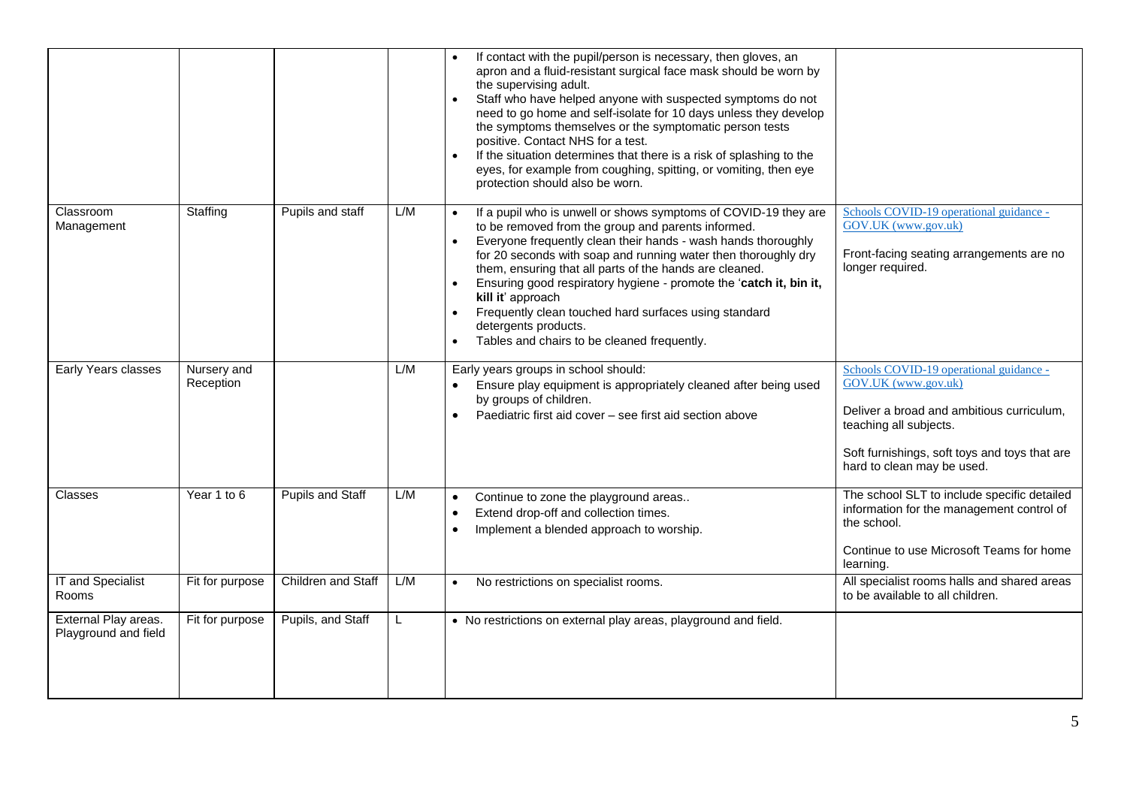|                                              |                          |                    |     | If contact with the pupil/person is necessary, then gloves, an<br>apron and a fluid-resistant surgical face mask should be worn by<br>the supervising adult.<br>Staff who have helped anyone with suspected symptoms do not<br>need to go home and self-isolate for 10 days unless they develop<br>the symptoms themselves or the symptomatic person tests<br>positive. Contact NHS for a test.<br>If the situation determines that there is a risk of splashing to the<br>eyes, for example from coughing, spitting, or vomiting, then eye<br>protection should also be worn.                     |                                                                                                                                                                                                                      |
|----------------------------------------------|--------------------------|--------------------|-----|----------------------------------------------------------------------------------------------------------------------------------------------------------------------------------------------------------------------------------------------------------------------------------------------------------------------------------------------------------------------------------------------------------------------------------------------------------------------------------------------------------------------------------------------------------------------------------------------------|----------------------------------------------------------------------------------------------------------------------------------------------------------------------------------------------------------------------|
| Classroom<br>Management                      | Staffing                 | Pupils and staff   | L/M | If a pupil who is unwell or shows symptoms of COVID-19 they are<br>to be removed from the group and parents informed.<br>Everyone frequently clean their hands - wash hands thoroughly<br>$\bullet$<br>for 20 seconds with soap and running water then thoroughly dry<br>them, ensuring that all parts of the hands are cleaned.<br>Ensuring good respiratory hygiene - promote the 'catch it, bin it,<br>$\bullet$<br>kill it' approach<br>Frequently clean touched hard surfaces using standard<br>$\bullet$<br>detergents products.<br>Tables and chairs to be cleaned frequently.<br>$\bullet$ | Schools COVID-19 operational guidance -<br>GOV.UK (www.gov.uk)<br>Front-facing seating arrangements are no<br>longer required.                                                                                       |
| Early Years classes                          | Nursery and<br>Reception |                    | L/M | Early years groups in school should:<br>Ensure play equipment is appropriately cleaned after being used<br>by groups of children.<br>Paediatric first aid cover - see first aid section above<br>$\bullet$                                                                                                                                                                                                                                                                                                                                                                                         | Schools COVID-19 operational guidance -<br>GOV.UK (www.gov.uk)<br>Deliver a broad and ambitious curriculum,<br>teaching all subjects.<br>Soft furnishings, soft toys and toys that are<br>hard to clean may be used. |
| Classes                                      | Year 1 to 6              | Pupils and Staff   | L/M | Continue to zone the playground areas<br>$\bullet$<br>Extend drop-off and collection times.<br>$\bullet$<br>Implement a blended approach to worship.                                                                                                                                                                                                                                                                                                                                                                                                                                               | The school SLT to include specific detailed<br>information for the management control of<br>the school.<br>Continue to use Microsoft Teams for home<br>learning.                                                     |
| IT and Specialist<br>Rooms                   | Fit for purpose          | Children and Staff | L/M | No restrictions on specialist rooms.                                                                                                                                                                                                                                                                                                                                                                                                                                                                                                                                                               | All specialist rooms halls and shared areas<br>to be available to all children.                                                                                                                                      |
| External Play areas.<br>Playground and field | Fit for purpose          | Pupils, and Staff  | L   | • No restrictions on external play areas, playground and field.                                                                                                                                                                                                                                                                                                                                                                                                                                                                                                                                    |                                                                                                                                                                                                                      |